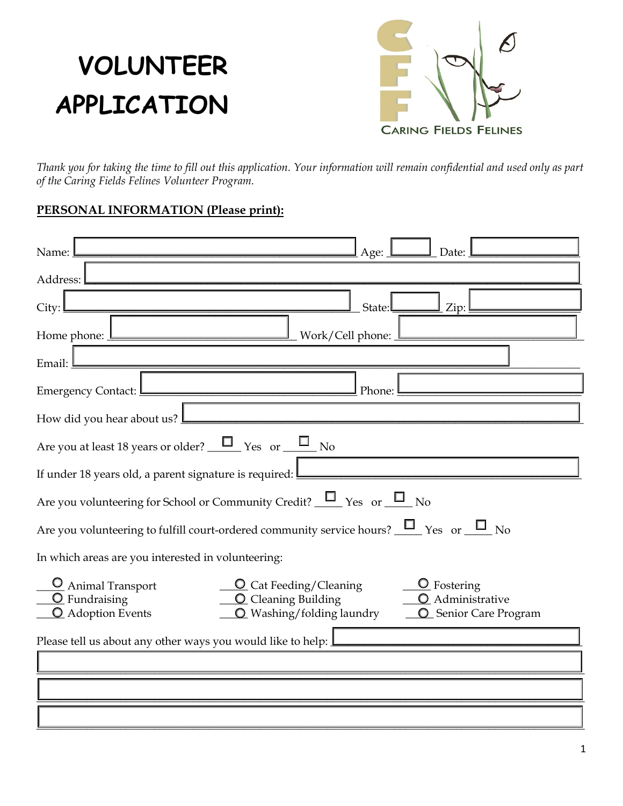## **VOLUNTEER APPLICATION**



*Thank you for taking the time to fill out this application. Your information will remain confidential and used only as part of the Caring Fields Felines Volunteer Program.* 

### **PERSONAL INFORMATION (Please print):**

| Name:<br>Date:<br>Age:                                                                                                                                                                                                                                       |  |  |  |  |  |
|--------------------------------------------------------------------------------------------------------------------------------------------------------------------------------------------------------------------------------------------------------------|--|--|--|--|--|
| Address:                                                                                                                                                                                                                                                     |  |  |  |  |  |
| State:<br>City:<br>Zip:                                                                                                                                                                                                                                      |  |  |  |  |  |
| Work/Cell phone:<br>Home phone:                                                                                                                                                                                                                              |  |  |  |  |  |
| Email:                                                                                                                                                                                                                                                       |  |  |  |  |  |
| <b>Emergency Contact:</b><br>Phone:                                                                                                                                                                                                                          |  |  |  |  |  |
| How did you hear about us?                                                                                                                                                                                                                                   |  |  |  |  |  |
| Are you at least 18 years or older? $\Box$ Yes or $\Box$ No                                                                                                                                                                                                  |  |  |  |  |  |
| If under 18 years old, a parent signature is required:                                                                                                                                                                                                       |  |  |  |  |  |
| Are you volunteering for School or Community Credit? $\Box$ Yes or $\Box$ No                                                                                                                                                                                 |  |  |  |  |  |
| Are you volunteering to fulfill court-ordered community service hours? $\Box$ Yes or $\Box$ No                                                                                                                                                               |  |  |  |  |  |
| In which areas are you interested in volunteering:                                                                                                                                                                                                           |  |  |  |  |  |
| <sup>O</sup> Animal Transport<br>$Q$ Fostering<br><b>Q</b> Cat Feeding/Cleaning<br>$\overline{O}$ Fundraising<br><b>Q</b> Cleaning Building<br>O Administrative<br>O Washing/folding laundry<br><sup>O</sup> Adoption Events<br><b>Q</b> Senior Care Program |  |  |  |  |  |
| Please tell us about any other ways you would like to help: ]                                                                                                                                                                                                |  |  |  |  |  |
|                                                                                                                                                                                                                                                              |  |  |  |  |  |
|                                                                                                                                                                                                                                                              |  |  |  |  |  |
|                                                                                                                                                                                                                                                              |  |  |  |  |  |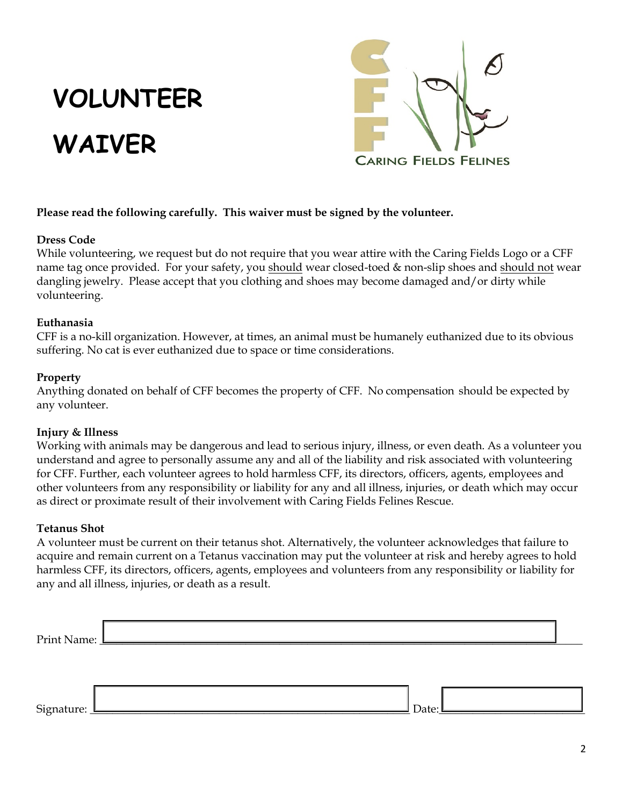# **VOLUNTEER WAIVER**



### **Please read the following carefully. This waiver must be signed by the volunteer.**

### **Dress Code**

While volunteering, we request but do not require that you wear attire with the Caring Fields Logo or a CFF name tag once provided. For your safety, you should wear closed-toed & non-slip shoes and should not wear dangling jewelry. Please accept that you clothing and shoes may become damaged and/or dirty while volunteering.

#### **Euthanasia**

CFF is a no-kill organization. However, at times, an animal must be humanely euthanized due to its obvious suffering. No cat is ever euthanized due to space or time considerations.

### **Property**

Anything donated on behalf of CFF becomes the property of CFF. No compensation should be expected by any volunteer.

### **Injury & Illness**

Working with animals may be dangerous and lead to serious injury, illness, or even death. As a volunteer you understand and agree to personally assume any and all of the liability and risk associated with volunteering for CFF. Further, each volunteer agrees to hold harmless CFF, its directors, officers, agents, employees and other volunteers from any responsibility or liability for any and all illness, injuries, or death which may occur as direct or proximate result of their involvement with Caring Fields Felines Rescue.

### **Tetanus Shot**

A volunteer must be current on their tetanus shot. Alternatively, the volunteer acknowledges that failure to acquire and remain current on a Tetanus vaccination may put the volunteer at risk and hereby agrees to hold harmless CFF, its directors, officers, agents, employees and volunteers from any responsibility or liability for any and all illness, injuries, or death as a result.

| Print Name: <u>Lange</u> |  |  |
|--------------------------|--|--|
|                          |  |  |
|                          |  |  |

Signature: \_\_\_\_\_\_\_\_\_\_\_\_\_\_\_\_\_\_\_\_\_\_\_\_\_\_\_\_\_\_\_\_\_\_\_\_\_\_\_\_\_\_\_\_\_\_\_\_\_\_\_\_\_\_\_\_\_ Date:\_\_\_\_\_\_\_\_\_\_\_\_\_\_\_\_\_\_\_\_\_\_\_\_\_\_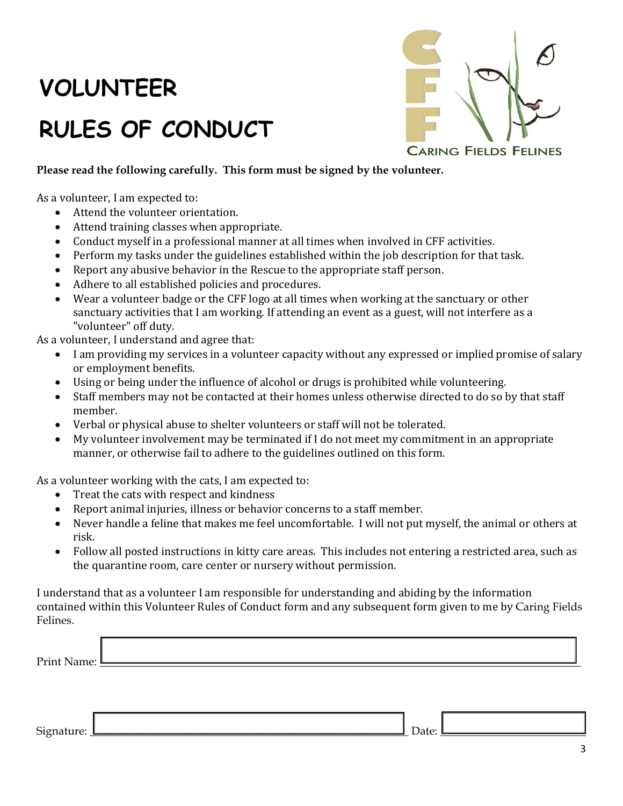### **VOLUNTEER**

### **RULES OF CONDUCT**



### **Please read the following carefully. This form must be signed by the volunteer.**

As a volunteer, I am expected to:

- Attend the volunteer orientation.
- Attend training classes when appropriate.
- Conduct myself in a professional manner at all times when involved in CFF activities.
- Perform my tasks under the guidelines established within the job description for that task.
- Report any abusive behavior in the Rescue to the appropriate staff person.
- Adhere to all established policies and procedures.
- Wear a volunteer badge or the CFF logo at all times when working at the sanctuary or other sanctuary activities that I am working. If attending an event as a guest, will not interfere as a "volunteer" off duty.

As a volunteer, I understand and agree that:

- I am providing my services in a volunteer capacity without any expressed or implied promise of salary or employment benefits.
- Using or being under the influence of alcohol or drugs is prohibited while volunteering.
- Staff members may not be contacted at their homes unless otherwise directed to do so by that staff member.
- Verbal or physical abuse to shelter volunteers or staff will not be tolerated.
- My volunteer involvement may be terminated if I do not meet my commitment in an appropriate manner, or otherwise fail to adhere to the guidelines outlined on this form.

As a volunteer working with the cats, I am expected to:

- Treat the cats with respect and kindness
- Report animal injuries, illness or behavior concerns to a staff member.
- Never handle a feline that makes me feel uncomfortable. I will not put myself, the animal or others at risk.
- Follow all posted instructions in kitty care areas. This includes not entering a restricted area, such as the quarantine room, care center or nursery without permission.

I understand that as a volunteer I am responsible for understanding and abiding by the information contained within this Volunteer Rules of Conduct form and any subsequent form given to me by Caring Fields Felines.

| au d |  |  |
|------|--|--|
| .    |  |  |

#### Signature: \_\_\_\_\_\_\_\_\_\_\_\_\_\_\_\_\_\_\_\_\_\_\_\_\_\_\_\_\_\_\_\_\_\_\_\_\_\_\_\_\_\_\_\_\_\_\_\_\_\_\_\_\_\_\_\_\_ Date: \_\_\_\_\_\_\_\_\_\_\_\_\_\_\_\_\_\_\_\_\_\_\_\_\_\_